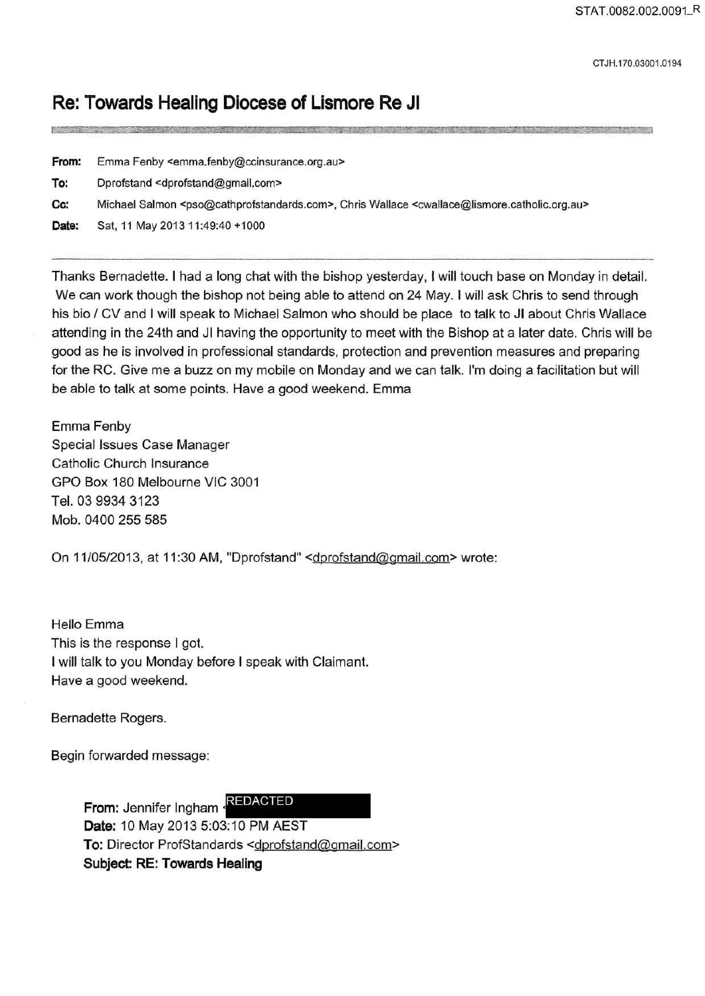CT JH.170.03001.0194

## **Re: Towards Healing Diocese of Lismore Re JI**

| From: | Emma Fenby <emma.fenby@ccinsurance.org.au></emma.fenby@ccinsurance.org.au>                                                                                  |
|-------|-------------------------------------------------------------------------------------------------------------------------------------------------------------|
| To:   | Dprofstand <dprofstand@gmail.com></dprofstand@gmail.com>                                                                                                    |
| Cc:   | Michael Salmon <pso@cathprofstandards.com>, Chris Wallace <cwallace@lismore.catholic.org.au></cwallace@lismore.catholic.org.au></pso@cathprofstandards.com> |
| Date: | Sat, 11 May 2013 11:49:40 +1000                                                                                                                             |

Thanks Bernadette. I had a long chat with the bishop yesterday, I will touch base on Monday in detail. We can work though the bishop not being able to attend on 24 May. I will ask Chris to send through his bio / CV and I will speak to Michael Salmon who should be place to talk to JI about Chris Wallace attending in the 24th and JI having the opportunity to meet with the Bishop at a later date. Chris will be good as he is involved in professional standards, protection and prevention measures and preparing for the RC. Give me a buzz on my mobile on Monday and we can talk. I'm doing a facilitation but will be able to talk at some points. Have a good weekend. Emma

Emma Fenby Special Issues Case Manager Catholic Church Insurance GPO Box 180 Melbourne VIC 3001 Tel. 03 9934 3123 Mob. 0400 255 585

On 11/05/2013, at 11:30 AM, "Dprofstand" <dprofstand@gmail.com> wrote:

Hello Emma This is the response I got. I will talk to you Monday before I speak with Claimant. Have a good weekend.

Bernadette Rogers.

Begin forwarded message:

**From:** Jennifer Ingham REDACTED **Date:** 10 May 2013 5:03:10 PM AEST To: Director ProfStandards <dprofstand@gmail.com> **Subject: RE: Towards Healing**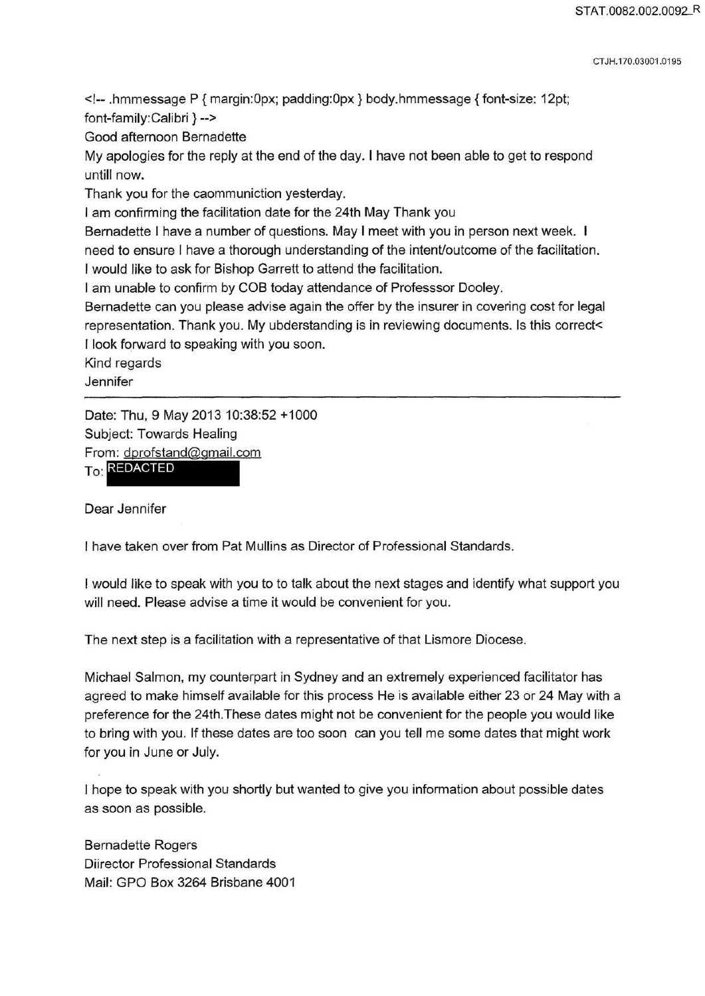CT JH.170.03001.0195

<!-- .hmmessage P { margin:Opx; padding:Opx} body.hmmessage {font-size: 12pt; font-family:Calibri } -->

Good afternoon Bernadette

My apologies for the reply at the end of the day. I have not been able to get to respond untill now.

Thank you for the caommuniction yesterday.

I am confirming the facilitation date for the 24th May Thank you

Bernadette I have a number of questions. May I meet with you in person next week.

need to ensure I have a thorough understanding of the intent/outcome of the facilitation.

I would like to ask for Bishop Garrett to attend the facilitation.

I am unable to confirm by COB today attendance of Professsor Dooley.

Bernadette can you please advise again the offer by the insurer in covering cost for legal representation. Thank you. My ubderstanding is in reviewing documents. Is this correct< I look forward to speaking with you soon.

Kind regards

**Jennifer** 

Date: Thu, 9 May 2013 10:38:52 +1000 Subject: Towards Healing From: dprofstand@gmail.com

To: REDACTED

Dear Jennifer

I have taken over from Pat Mullins as Director of Professional Standards.

I would like to speak with you to to talk about the next stages and identify what support you will need. Please advise a time it would be convenient for you.

The next step is a facilitation with a representative of that Lismore Diocese.

Michael Salmon, my counterpart in Sydney and an extremely experienced facilitator has agreed to make himself available for this process He is available either 23 or 24 May with a preference for the 24th.These dates might not be convenient for the people you would like to bring with you. If these dates are too soon can you tell me some dates that might work for you in June or July.

I hope to speak with you shortly but wanted to give you information about possible dates as soon as possible.

Bernadette Rogers Diirector Professional Standards Mail: GPO Box 3264 Brisbane 4001